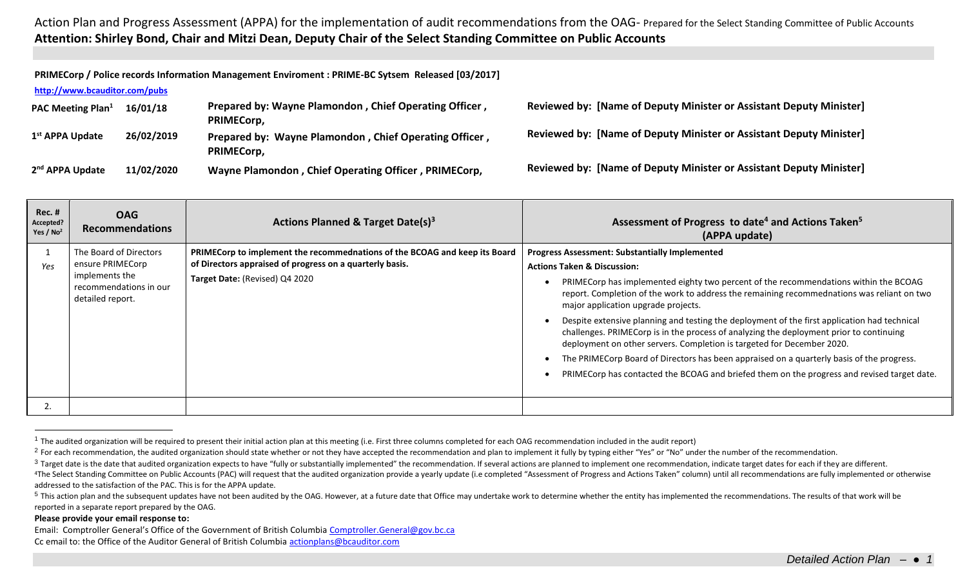## Action Plan and Progress Assessment (APPA) for the implementation of audit recommendations from the OAG- Prepared for the Select Standing Committee of Public Accounts **Attention: Shirley Bond, Chair and Mitzi Dean, Deputy Chair of the Select Standing Committee on Public Accounts**

**PRIMECorp / Police records Information Management Enviroment : PRIME-BC Sytsem Released [03/2017] <http://www.bcauditor.com/pubs> PAC Meeting Plan<sup>1</sup> 16/01/18 Prepared by: Wayne Plamondon , Chief Operating Officer , PRIMECorp, Reviewed by: [Name of Deputy Minister or Assistant Deputy Minister]** 1<sup>st</sup> APPA Update **st APPA Update 26/02/2019 Prepared by: Wayne Plamondon , Chief Operating Officer , PRIMECorp, Reviewed by: [Name of Deputy Minister or Assistant Deputy Minister]** 2<sup>nd</sup> APPA Update **nd APPA Update 11/02/2020 Wayne Plamondon , Chief Operating Officer , PRIMECorp, Reviewed by: [Name of Deputy Minister or Assistant Deputy Minister]**

| <b>Rec. #</b><br>Accepted?<br>Yes / $No2$ | <b>OAG</b><br><b>Recommendations</b>                                                                       | Actions Planned & Target Date(s) <sup>3</sup>                                                                                                                            | Assessment of Progress to date <sup>4</sup> and Actions Taken <sup>5</sup><br>(APPA update)                                                                                                                                                                                                                                                                                                                                                                                                                                                                                                                                                                                                                                                                                                   |
|-------------------------------------------|------------------------------------------------------------------------------------------------------------|--------------------------------------------------------------------------------------------------------------------------------------------------------------------------|-----------------------------------------------------------------------------------------------------------------------------------------------------------------------------------------------------------------------------------------------------------------------------------------------------------------------------------------------------------------------------------------------------------------------------------------------------------------------------------------------------------------------------------------------------------------------------------------------------------------------------------------------------------------------------------------------------------------------------------------------------------------------------------------------|
| Yes                                       | The Board of Directors<br>ensure PRIMECorp<br>implements the<br>recommendations in our<br>detailed report. | PRIMECorp to implement the recommednations of the BCOAG and keep its Board<br>of Directors appraised of progress on a quarterly basis.<br>Target Date: (Revised) Q4 2020 | <b>Progress Assessment: Substantially Implemented</b><br><b>Actions Taken &amp; Discussion:</b><br>PRIMECorp has implemented eighty two percent of the recommendations within the BCOAG<br>report. Completion of the work to address the remaining recommednations was reliant on two<br>major application upgrade projects.<br>Despite extensive planning and testing the deployment of the first application had technical<br>challenges. PRIMECorp is in the process of analyzing the deployment prior to continuing<br>deployment on other servers. Completion is targeted for December 2020.<br>The PRIMECorp Board of Directors has been appraised on a quarterly basis of the progress.<br>PRIMECorp has contacted the BCOAG and briefed them on the progress and revised target date. |
| 2.                                        |                                                                                                            |                                                                                                                                                                          |                                                                                                                                                                                                                                                                                                                                                                                                                                                                                                                                                                                                                                                                                                                                                                                               |

 $1$  The audited organization will be required to present their initial action plan at this meeting (i.e. First three columns completed for each OAG recommendation included in the audit report)

## **Please provide your email response to:**

 $\overline{a}$ 

Email: Comptroller General's Office of the Government of British Columbia [Comptroller.General@gov.bc.ca](mailto:Comptroller.General@gov.bc.ca) Cc email to: the Office of the Auditor General of British Columbi[a actionplans@bcauditor.com](mailto:actionplans@bcauditor.com)

<sup>&</sup>lt;sup>2</sup> For each recommendation, the audited organization should state whether or not they have accepted the recommendation and plan to implement it fully by typing either "Yes" or "No" under the number of the recommendation.

<sup>&</sup>lt;sup>3</sup> Target date is the date that audited organization expects to have "fully or substantially implemented" the recommendation. If several actions are planned to implement one recommendation, indicate target dates for each <sup>4</sup>The Select Standing Committee on Public Accounts (PAC) will request that the audited organization provide a yearly update (i.e completed "Assessment of Progress and Actions Taken" column) until all recommendations are f addressed to the satisfaction of the PAC. This is for the APPA update.

<sup>&</sup>lt;sup>5</sup> This action plan and the subsequent updates have not been audited by the OAG. However, at a future date that Office may undertake work to determine whether the entity has implemented the recommendations. The results of reported in a separate report prepared by the OAG.